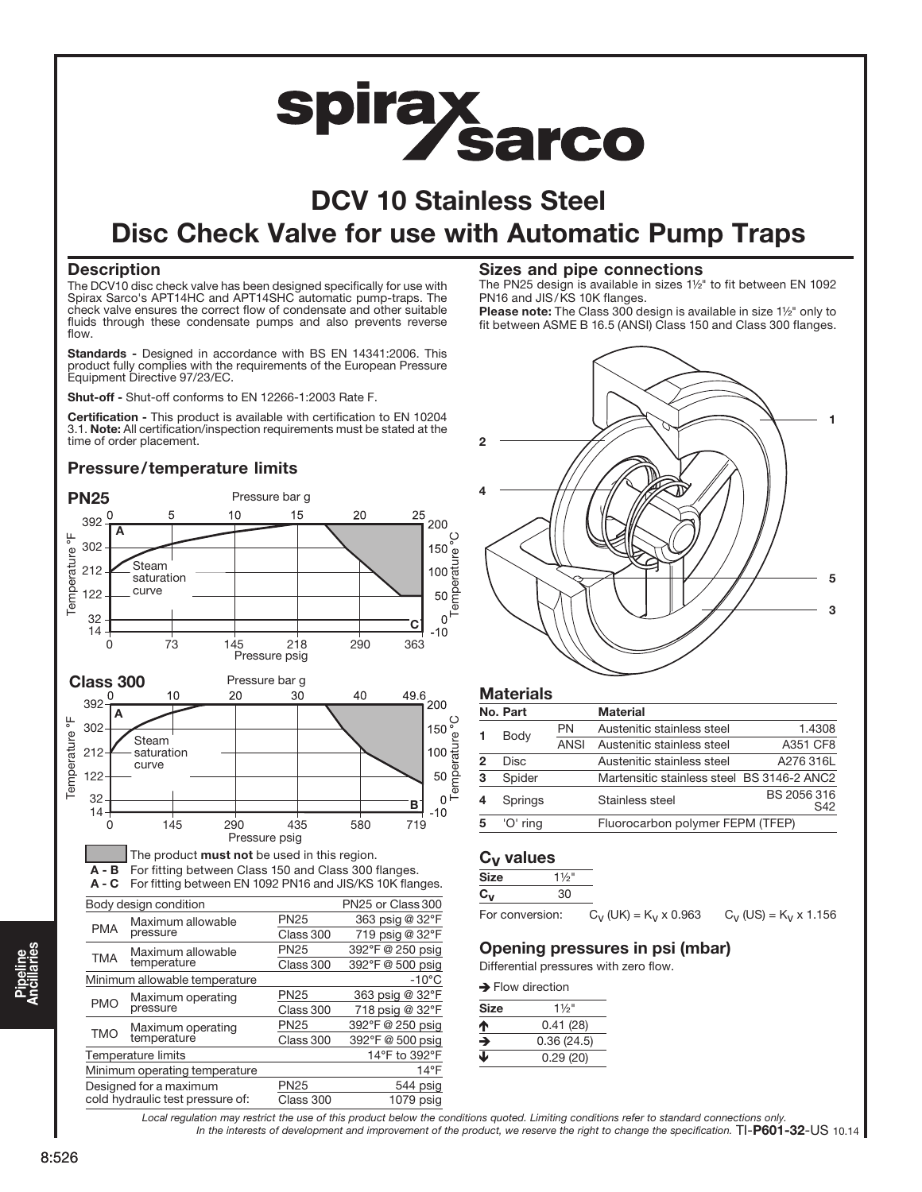# spiray Sarco

# DCV 10 Stainless Steel Disc Check Valve for use with Automatic Pump Traps

# **Description**

The DCV10 disc check valve has been designed specifically for use with Spirax Sarco's APT14HC and APT14SHC automatic pump-traps. The check valve ensures the correct flow of condensate and other suitable fluids through these condensate pumps and also prevents reverse flow.

Standards - Designed in accordance with BS EN 14341:2006. This product fully complies with the requirements of the European Pressure Equipment Directive 97/23/EC.

Shut-off - Shut-off conforms to EN 12266-1:2003 Rate F.

Certification - This product is available with certification to EN 10204 3.1. Note: All certification/inspection requirements must be stated at the time of order placement.

# Pressure/temperature limits



# Sizes and pipe connections

The PN25 design is available in sizes 1½" to fit between EN 1092 PN16 and JIS/KS 10K flanges.

Please note: The Class 300 design is available in size 1½" only to fit between ASME B 16.5 (ANSI) Class 150 and Class 300 flanges.



# **Materials**

|   | No. Part    |             | <b>Material</b>                            |                    |
|---|-------------|-------------|--------------------------------------------|--------------------|
|   | Body        | PN          | Austenitic stainless steel                 | 1.4308             |
|   |             | <b>ANSI</b> | Austenitic stainless steel                 | A351 CF8           |
| 2 | <b>Disc</b> |             | Austenitic stainless steel                 | A276 316L          |
| 3 | Spider      |             | Martensitic stainless steel BS 3146-2 ANC2 |                    |
|   | Springs     |             | Stainless steel                            | BS 2056 316<br>S42 |
| 5 | 'O' ring    |             | Fluorocarbon polymer FEPM (TFEP)           |                    |
|   |             |             |                                            |                    |

# Cv values

| Size | /2"   |
|------|-------|
| . .  | ו וצ׳ |

# For conversion:  $C_V$  (UK) = K<sub>V</sub> x 0.963  $C_V$  (US) = K<sub>V</sub> x 1.156

#### Opening pressures in psi (mbar) Differential pressures with zero flow.

Flow direction of the control of

| <b>7</b> FIOW UITECHOLI |                  |  |  |  |
|-------------------------|------------------|--|--|--|
| Size                    | $1\frac{1}{2}$ " |  |  |  |
| ↑                       | 0.41(28)         |  |  |  |
| →                       | 0.36(24.5)       |  |  |  |
| ◡                       | 0.29(20)         |  |  |  |

In the interests of development and improvement of the product, we reserve the right to change the specification. TI-P601-32-US 10.14 Local regulation may restrict the use of this product below the conditions quoted. Limiting conditions refer to standard connections only.